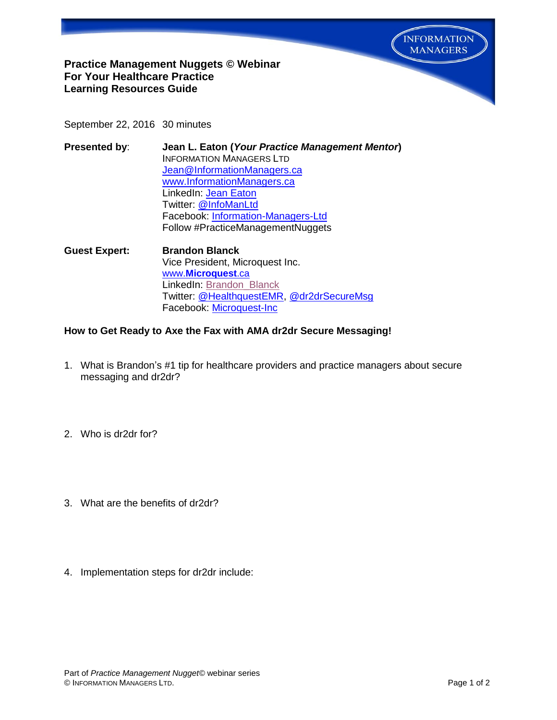

## **Practice Management Nuggets © Webinar For Your Healthcare Practice Learning Resources Guide**

September 22, 2016 30 minutes

| Presented by: | Jean L. Eaton (Your Practice Management Mentor) |
|---------------|-------------------------------------------------|
|               | <b>INFORMATION MANAGERS LTD</b>                 |
|               | Jean@InformationManagers.ca                     |
|               | www.InformationManagers.ca                      |
|               | LinkedIn: Jean Eaton                            |
|               | Twitter: @InfoManLtd                            |
|               | Facebook: Information-Managers-Ltd              |
|               | Follow #PracticeManagementNuggets               |

**Guest Expert: Brandon Blanck** Vice President, Microquest Inc. www.**[Microquest](http://www.microquest.ca/)**.ca LinkedIn: Brandon Blanck Twitter: [@HealthquestEMR,](https://twitter.com/HealthquestEMR) [@dr2drSecureMsg](https://twitter.com/search?q=%40dr2drSecureMsg&src=typd) Facebook: [Microquest-Inc](https://www.facebook.com/Microquest-Inc-140380375979498/?fref=ts)

## **How to Get Ready to Axe the Fax with AMA dr2dr Secure Messaging!**

- 1. What is Brandon's #1 tip for healthcare providers and practice managers about secure messaging and dr2dr?
- 2. Who is dr2dr for?
- 3. What are the benefits of dr2dr?
- 4. Implementation steps for dr2dr include: